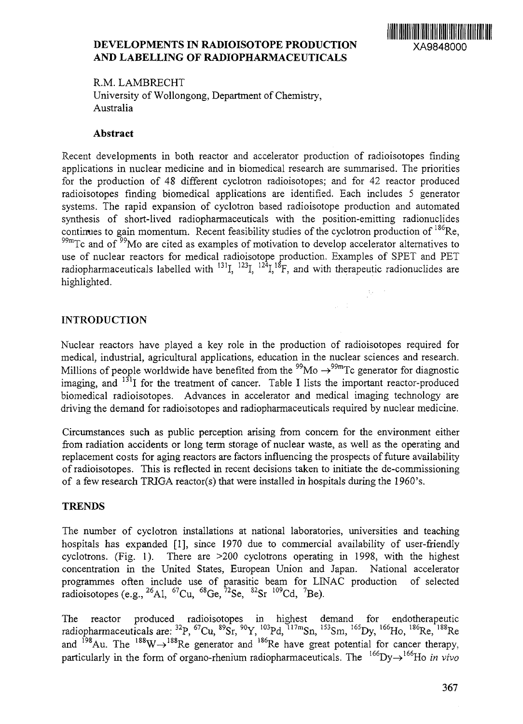## **DEVELOPMENTS IN RADIOISOTOPE PRODUCTION** XA9848000 **AND** LABELLING OF **RADIOPHARMACEUTICALS**



R.M. LAMBRECHT University of Wollongong, Department of Chemistry, Australia

#### **Abstract**

Recent developments in both reactor and accelerator production of radioisotopes finding applications in nuclear medicine and in biomedical research are summarised. The priorities for the production of 48 different cyclotron radioisotopes; and for 42 reactor produced radioisotopes finding biomedical applications are identified. Each includes 5 generator systems. The rapid expansion of cyclotron based radioisotope production and automated synthesis of short-lived radiopharmaceuticals with the position-emitting radionuclides continues to gain momentum. Recent feasibility studies of the cyclotron production of <sup>186</sup>Re,  $99m$ Tc and of  $99m$ Mo are cited as examples of motivation to develop accelerator alternatives to use of nuclear reactors for medical radioisotope production. Examples of SPET and PET radiopharmaceuticals labelled with  $^{131}$ I,  $^{123}$ I,  $^{124}$ I,  $^{18}$ F, and with therapeutic radionuclides are highlighted.

## **INTRODUCTION**

Nuclear reactors have played a key role in the production of radioisotopes required for medical, industrial, agricultural applications, education in the nuclear sciences and research. Millions of people worldwide have benefited from the  $^{99}\text{Mo} \rightarrow ^{99\text{m}}$ Tc generator for diagnostic imaging, and <sup>131</sup>I for the treatment of cancer. Table I lists the important reactor-produced biomedical radioisotopes. Advances in accelerator and medical imaging technology are driving the demand for radioisotopes and radiopharmaceuticals required by nuclear medicine.

 $\omega \in \mathbb{C}^{\times}$ 

Circumstances such as public perception arising from concern for the environment either from radiation accidents or long term storage of nuclear waste, as well as the operating and replacement costs for aging reactors are factors influencing the prospects of future availability of radioisotopes. This is reflected in recent decisions taken to initiate the de-commissioning of a few research TRIGA reactor(s) that were installed *in* hospitals during the 1960's.

### **TRENDS**

The number of cyclotron installations at national laboratories, universities and teaching hospitals has expanded [1], since 1970 due to commercial availability of user-friendly cyclotrons. (Fig. 1). There are >200 cyclotrons operating in 1998, with the highest concentration in the United States, European Union and Japan. National accelerator programmes often include use of parasitic beam for LINAC production of selected radioisotopes (e.g., <sup>26</sup>Al, <sup>67</sup>Cu, <sup>68</sup>Ge, <sup>72</sup>Se, <sup>82</sup>Sr <sup>109</sup>Cd, <sup>7</sup>Be

The reactor produced radioisotopes in highest demand for endotherapeutic radiopharmaceuticals are: <sup>32</sup>P, <sup>67</sup>Cu, <sup>89</sup>Sr, <sup>90</sup>Y, <sup>103</sup>Pd, <sup>117m</sup>Sn, <sup>153</sup>Sm, <sup>165</sup>Dy, <sup>166</sup>Ho, <sup>186</sup>Re, <sup>188</sup>. and <sup>198</sup>Au. The  $188 \text{W} \rightarrow 188 \text{Re}$  generator and  $186 \text{Re}$  have great potential for cancer therapy particularly in the form of organo-rhenium radiopharmaceuticals. The <sup>166</sup>Dy $\rightarrow$ <sup>166</sup>Ho *in vivo*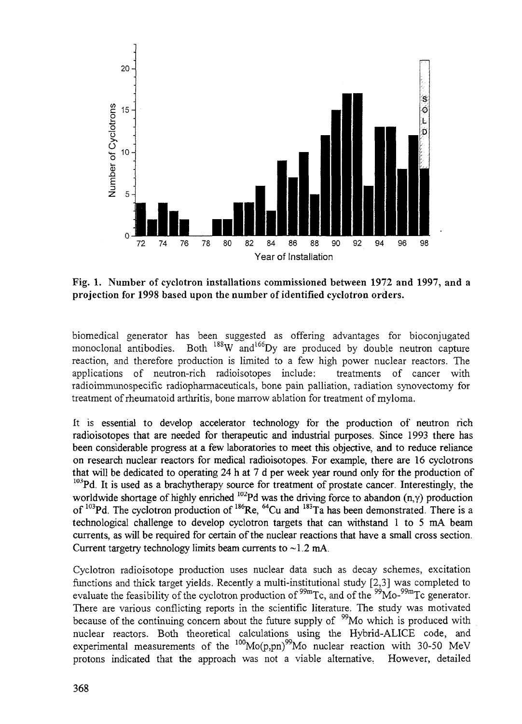

Fig. 1. Number of cyclotron installations commissioned between 1972 and 1997, and a projection for 1998 based upon the number of identified cyclotron orders.

biomedical generator has been suggested as offering advantages for bioconjugated monoclonal antibodies. Both <sup>188</sup>W and<sup>166</sup>Dy are produced by double neutron capture reaction, and therefore production is limited to a few high power nuclear reactors. The applications of neutron-rich radioisotopes include: treatments of cancer with radioimmunospecific radiopharmaceuticals, bone pain palliation, radiation synovectomy for treatment of rheumatoid arthritis, bone marrow ablation for treatment of myloma.

it is essential to develop accelerator technology for the production of neutron rich radioisotopes that are needed for therapeutic and industrial purposes. Since 1993 there has been considerable progress at a few laboratories to meet this objective, and to reduce reliance on research nuclear reactors for medical radioisotopes. For example, there are 16 cyclotrons that will be dedicated to operating 24 h at 7 d per week year round only for the production of <sup>103</sup>Pd. It is used as a brachytherapy source for treatment of prostate cancer. Interestingly, the worldwide shortage of highly enriched  $102Pd$  was the driving force to abandon  $(n, \gamma)$  production of  $103$ Pd. The cyclotron production of  $186$ Re,  $64$ Cu and  $183$ Ta has been demonstrated. There is a technological challenge to develop cyclotron targets that can withstand 1 to 5 mA beam currents, as will be required for certain of the nuclear reactions that have a small cross section. Current targetry technology limits beam currents to  $\sim$ 1.2 mA.

Cyclotron radioisotope production uses nuclear data such as decay schemes, excitation functions and thick target yields. Recently a multi-institutional study [2,3] was completed to evaluate the feasibility of the cyclotron production of <sup>99m</sup>Tc, and of the <sup>99</sup>Mo-<sup>99m</sup>Tc generator There are various conflicting reports in the scientific literature. The study was motivated because of the continuing concern about the future supply of  $\frac{99}{9}$ Mo which is produced with nuclear reactors. Both theoretical calculations using the Hybrid-ALICE code, and experimental measurements of the <sup>100</sup>Mo(p,pn)<sup>99</sup>Mo nuclear reaction with 30-50 MeV protons indicated that the approach was not a viable alternative. However, detailed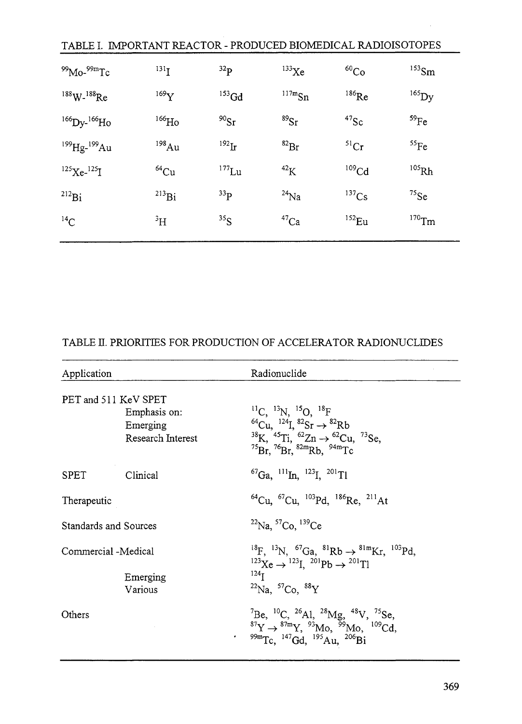| TABLE I. IMPORTANT REACTOR - PRODUCED BIOMEDICAL RADIOISOTOPES |                    |                 |                   |                   |                     |  |
|----------------------------------------------------------------|--------------------|-----------------|-------------------|-------------------|---------------------|--|
| $99$ Mo- $99$ mTc                                              | $^{131}$ I         | 32 <sub>p</sub> | $^{133}$ Xe       | ${}^{60}Co$       | $^{153}$ Sm         |  |
| $188$ W- $188$ Re                                              | $^{169}\mathrm{Y}$ | $^{153}$ Gd     | $^{117m}Sn$       | $^{186}$ Re       | $^{165}$ Dy         |  |
| $^{166}$ Dy- $^{166}$ Ho                                       | $^{166}\text{Ho}$  | $^{90}Sr$       | ${}^{89}Sr$       | $47$ Sc           | 59Fe                |  |
| $^{199}$ Hg- $^{199}$ Au                                       | $198$ Au           | $^{192}$ Ir     | ${}^{82}Br$       | 51Cr              | ${}^{55}Fe$         |  |
| $^{125}$ Xe- $^{125}$ I                                        | $^{64}$ Cu         | $^{177}$ Lu     | $42$ <sub>K</sub> | 109 <sub>Cd</sub> | $^{105}\mathrm{Rh}$ |  |
| $^{212}Bi$                                                     | $^{213}Bi$         | $^{33}P$        | $^{24}$ Na        | $137$ Cs          | $^{75}$ Se          |  |
| $^{14}$ C                                                      | $\rm ^3H$          | $^{35}S$        | $^{47}$ Ca        | $^{152}$ Eu       | $^{170}\mathrm{Tm}$ |  |

# TABLE II. PRIORITIES FOR PRODUCTION OF ACCELERATOR RADIONUCLIDES

| Application                                                           |          | Radionuclide                                                                                                                                                                                                                                                                                  |  |
|-----------------------------------------------------------------------|----------|-----------------------------------------------------------------------------------------------------------------------------------------------------------------------------------------------------------------------------------------------------------------------------------------------|--|
| PET and 511 KeV SPET<br>Emphasis on:<br>Emerging<br>Research Interest |          | ${}^{11}C, {}^{13}N, {}^{15}O, {}^{18}F$<br><sup>64</sup> Cu, <sup>124</sup> I, <sup>82</sup> Sr $\rightarrow$ <sup>82</sup> Rb<br><sup>38</sup> K, <sup>45</sup> Ti, <sup>62</sup> Zn $\rightarrow$ <sup>62</sup> Cu, <sup>73</sup> Se,<br>$^{75}Br$ , $^{76}Br$ , $^{82m}Rb$ , $^{94m}Tc$   |  |
| <b>SPET</b>                                                           | Clinical | ${}^{67}Ga$ , ${}^{111}In$ , ${}^{123}I$ , ${}^{201}T1$                                                                                                                                                                                                                                       |  |
| Therapeutic                                                           |          | ${}^{64}$ Cu, ${}^{67}$ Cu, ${}^{103}$ Pd, ${}^{186}$ Re, ${}^{211}$ At                                                                                                                                                                                                                       |  |
| Standards and Sources                                                 |          | $^{22}$ Na, $^{57}$ Co, $^{139}$ Ce                                                                                                                                                                                                                                                           |  |
| Commercial -Medical<br>Emerging<br>Various                            |          | <sup>18</sup> F, <sup>13</sup> N, <sup>67</sup> Ga, <sup>81</sup> Rb $\rightarrow$ <sup>81m</sup> Kr, <sup>103</sup> Pd,<br>${}^{123}\text{Xe} \rightarrow {}^{123}\text{I}$ . ${}^{201}\text{Pb} \rightarrow {}^{201}\text{I}$<br>$^{124}$ <sub>I</sub><br>$^{22}$ Na, $^{57}$ Co, $^{88}$ Y |  |
| Others                                                                | ٠        | <sup>7</sup> Be, <sup>10</sup> C, <sup>26</sup> Al, <sup>28</sup> Mg, <sup>48</sup> V, <sup>75</sup> Se,<br><sup>87</sup> Y → <sup>87m</sup> Y, <sup>93</sup> Mo, <sup>99</sup> Mo, <sup>109</sup> Cd,<br>$^{99m}$ Tc, $^{147}$ Gd, $^{195}$ Au, $^{206}$ Bi                                  |  |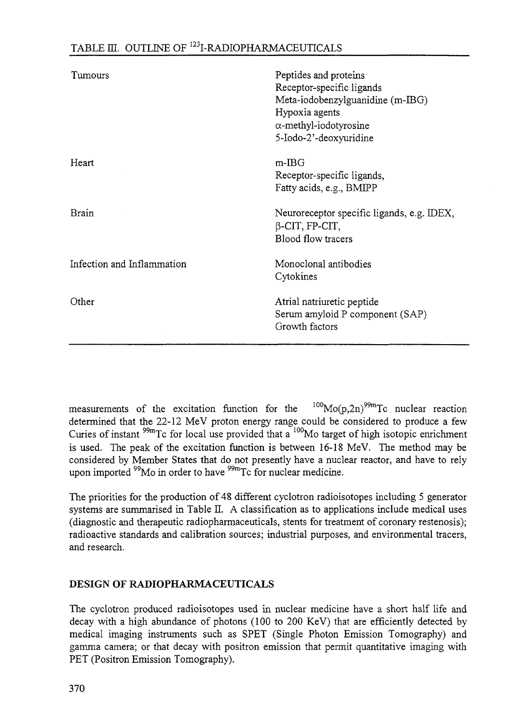# TABLE  $\scriptstyle\rm III.$  OUTLINE OF  $^{123}$ I-RADIOPHARMACEUTICALS

| Tumours                    | Peptides and proteins<br>Receptor-specific ligands<br>Meta-iodobenzylguanidine (m-IBG)<br>Hypoxia agents<br>$\alpha$ -methyl-iodotyrosine<br>5-Iodo-2'-deoxyuridine |
|----------------------------|---------------------------------------------------------------------------------------------------------------------------------------------------------------------|
| Heart                      | $m$ -IBG<br>Receptor-specific ligands,<br>Fatty acids, e.g., BMIPP                                                                                                  |
| Brain                      | Neuroreceptor specific ligands, e.g. IDEX,<br>$\beta$ -CIT, FP-CIT,<br>Blood flow tracers                                                                           |
| Infection and Inflammation | Monoclonal antibodies<br>Cytokines                                                                                                                                  |
| Other                      | Atrial natriuretic peptide<br>Serum amyloid P component (SAP)<br>Growth factors                                                                                     |

measurements of the excitation function for the  $100Mo(p,2n)$ <sup>99m</sup>Tc nuclear reaction determined that the 22-12 MeV proton energy range could be considered to produce a few Curies of instant <sup>99m</sup>Tc for local use provided that a <sup>100</sup>Mo target of high isotopic enrichmen is used. The peak of the excitation function is between 16-18 MeV. The method may be considered by Member States that do not presently have a nuclear reactor, and have to rely upon imported <sup>99</sup>Mo in order to have <sup>99m</sup>Tc for nuclear medicine

The priorities for the production of 48 different cyclotron radioisotopes including 5 generator systems are summarised in Table II. A classification as to applications include medical uses (diagnostic and therapeutic radiopharmaceuticals, stents for treatment of coronary restenosis); radioactive standards and calibration sources; industrial purposes, and environmental tracers, and research.

## **DESIGN OF RADIOPHARMACEUTTCALS**

The cyclotron produced radioisotopes used in nuclear medicine have a short half life and decay with a high abundance of photons (100 to 200 KeV) that are efficiently detected by medical imaging instruments such as SPET (Single Photon Emission Tomography) and gamma camera; or that decay with positron emission that permit quantitative imaging with PET (Positron Emission Tomography).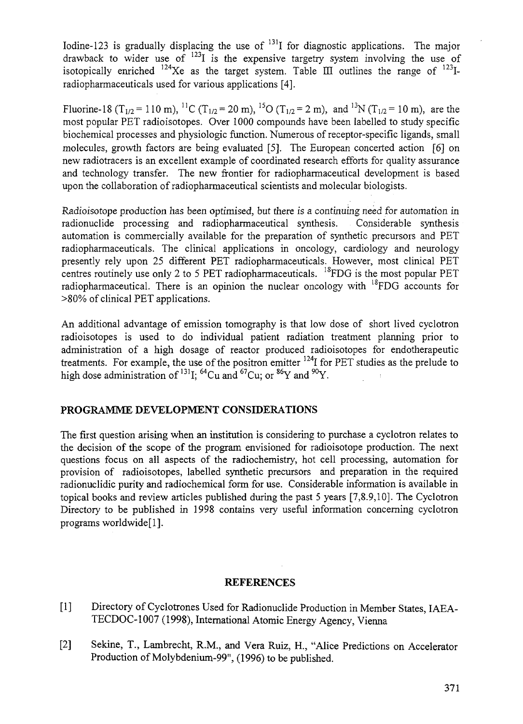Iodine-123 is gradually displacing the use of <sup>131</sup>I for diagnostic applications. The major drawback to wider use of  $123I$  is the expensive targetry system involving the use of isotopically enriched  $124Xe$  as the target system. Table III outlines the range of  $123I$ radiopharmaceuticals used for various applications [4].

Fluorine-18 (T<sub>1/2</sub> = 110 m), <sup>11</sup>C (T<sub>1/2</sub> = 20 m), <sup>15</sup>O (T<sub>1/2</sub> = 2 m), and <sup>13</sup>N (T<sub>1/2</sub> = 10 m), are the most popular PET radioisotopes. Over 1000 compounds have been labelled to study specific biochemical processes and physiologic function. Numerous of receptor-specific ligands, small molecules, growth factors are being evaluated [5]. The European concerted action [6] on new radiotracers is an excellent example of coordinated research efforts for quality assurance and technology transfer. The new frontier for radiopharmaceutical development is based upon the collaboration of radiopharmaceutical scientists and molecular biologists.

Radioisotope production has been optimised, but there is a continuing need for automation in radionuclide processing and radiopharmaceutical synthesis. Considerable synthesis automation is commercially available for the preparation of synthetic precursors and PET radiopharmaceuticals. The clinical applications in oncology, cardiology and neurology presently rely upon 25 different PET radiopharmaceuticals. However, most clinical PET centres routinely use only 2 to 5 PET radiopharmaceuticals. <sup>18</sup>FDG is the most popular PET radiopharmaceutical. There is an opinion the nuclear oncology with <sup>18</sup>FDG accounts for >80% of clinical PET applications.

An additional advantage of emission tomography is that low dose of short lived cyclotron radioisotopes is used to do individual patient radiation treatment planning prior to administration of a high dosage of reactor produced radioisotopes for endotherapeutic treatments. For example, the use of the positron emitter <sup>124</sup>I for PET studies as the prelude to high dose administration of  $^{131}$ I;  $^{64}$ Cu and  $^{67}$ Cu; or  $^{86}$ Y and  $^{90}$ Y

### **PROGRAMME DEVELOPMENT CONSIDERATIONS**

The first question arising when an institution is considering to purchase a cyclotron relates to the decision of the scope of the program envisioned for radioisotope production. The next questions focus on all aspects of the radiochemistry, hot cell processing, automation for provision of radioisotopes, labelled synthetic precursors and preparation in the required radionuclidic purity and radiochemicai form for use. Considerable information is available in topical books and review articles published during the past 5 years [7,8.9,10]. The Cyclotron Directory to be published in 1998 contains very useful information concerning cyclotron programs worldwide[l].

#### **REFERENCES**

- [1] Directory of Cyclotrones Used for Radionuclide Production in Member States, IAEA-TECDOC-1007 (1998), International Atomic Energy Agency, Vienna
- [2] Sekine, T., Lambrecht, R.M., and Vera Ruiz, H., "Alice Predictions on Accelerator Production of Molybdenium-99", (1996) to be published.